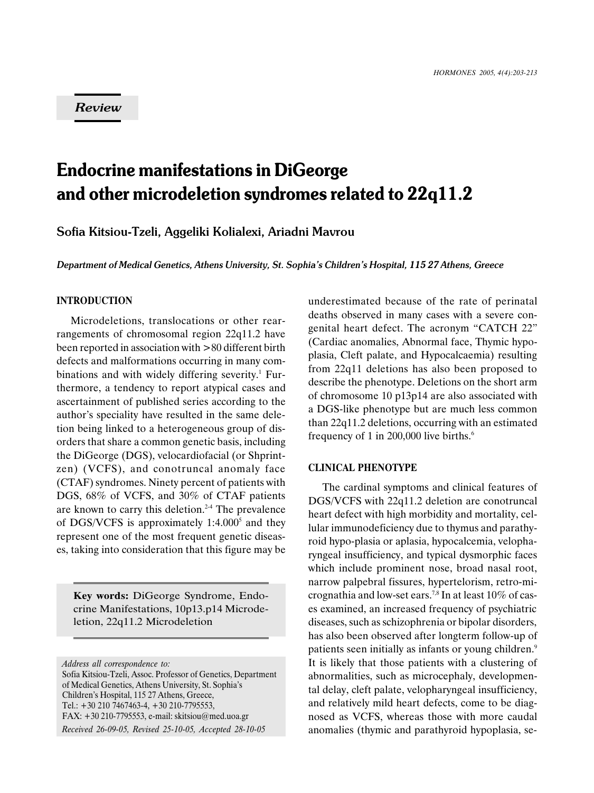# Review

# Endocrine manifestations in DiGeorge and other microdeletion syndromes related to 22q11.2

Sofia Kitsiou-Tzeli, Aggeliki Kolialexi, Ariadni Mavrou

Department of Medical Genetics, Athens University, St. Sophia's Children's Hospital, 115 27 Athens, Greece

# INTRODUCTION

Microdeletions, translocations or other rearrangements of chromosomal region 22q11.2 have been reported in association with >80 different birth defects and malformations occurring in many combinations and with widely differing severity.<sup>1</sup> Furthermore, a tendency to report atypical cases and ascertainment of published series according to the author's speciality have resulted in the same deletion being linked to a heterogeneous group of disorders that share a common genetic basis, including the DiGeorge (DGS), velocardiofacial (or Shprintzen) (VCFS), and conotruncal anomaly face (CTAF) syndromes. Ninety percent of patients with DGS,  $68\%$  of VCFS, and  $30\%$  of CTAF patients are known to carry this deletion.<sup>2-4</sup> The prevalence of DGS/VCFS is approximately 1:4.000<sup>5</sup> and they represent one of the most frequent genetic diseases, taking into consideration that this figure may be

Key words: DiGeorge Syndrome, Endocrine Manifestations, 10p13.p14 Microdeletion, 22q11.2 Microdeletion

underestimated because of the rate of perinatal deaths observed in many cases with a severe congenital heart defect. The acronym "CATCH 22" (Cardiac anomalies, Abnormal face, Thymic hypoplasia, Cleft palate, and Hypocalcaemia) resulting from 22q11 deletions has also been proposed to describe the phenotype. Deletions on the short arm of chromosome 10 p13p14 are also associated with a DGS-like phenotype but are much less common than 22q11.2 deletions, occurring with an estimated frequency of 1 in 200,000 live births.<sup>6</sup>

## CLINICAL PHENOTYPE

The cardinal symptoms and clinical features of DGS/VCFS with 22q11.2 deletion are conotruncal heart defect with high morbidity and mortality, cellular immunodeficiency due to thymus and parathyroid hypo-plasia or aplasia, hypocalcemia, velopharyngeal insufficiency, and typical dysmorphic faces which include prominent nose, broad nasal root, narrow palpebral fissures, hypertelorism, retro-micrognathia and low-set ears.<sup>7,8</sup> In at least  $10\%$  of cases examined, an increased frequency of psychiatric diseases, such as schizophrenia or bipolar disorders, has also been observed after longterm follow-up of patients seen initially as infants or young children.<sup>9</sup> It is likely that those patients with a clustering of abnormalities, such as microcephaly, developmental delay, cleft palate, velopharyngeal insufficiency, and relatively mild heart defects, come to be diagnosed as VCFS, whereas those with more caudal anomalies (thymic and parathyroid hypoplasia, se-

Address all correspondence to:

Sofia Kitsiou-Tzeli, Assoc. Professor of Genetics, Department of Medical Genetics, Athens University, St. Sophia's Children's Hospital, 115 27 Athens, Greece, Tel.: +30 210 7467463-4, +30 210-7795553, FAX: +30 210-7795553, e-mail: skitsiou@med.uoa.gr Received 26-09-05, Revised 25-10-05, Accepted 28-10-05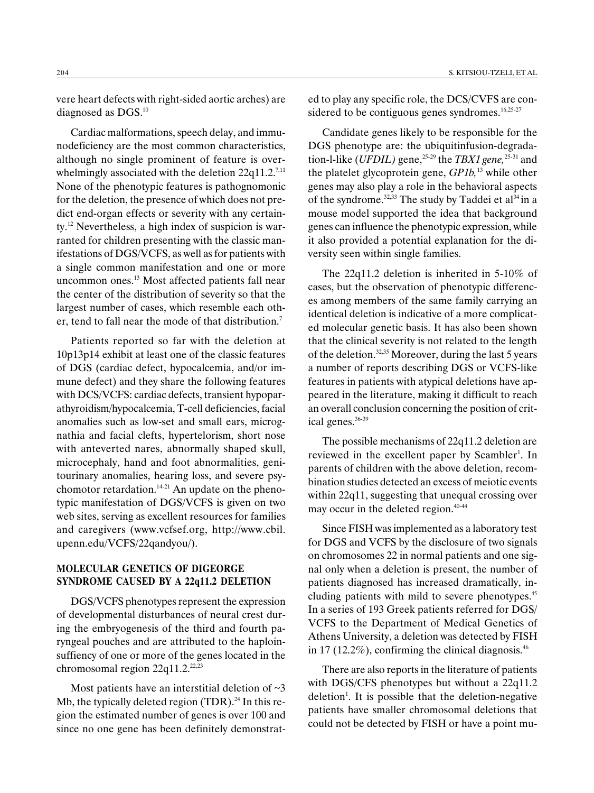vere heart defects with right-sided aortic arches) are diagnosed as DGS.<sup>10</sup>

Cardiac malformations, speech delay, and immunodeficiency are the most common characteristics, although no single prominent of feature is overwhelmingly associated with the deletion  $22q11.2$ <sup>7,11</sup> None of the phenotypic features is pathognomonic for the deletion, the presence of which does not predict end-organ effects or severity with any certainty.12 Nevertheless, a high index of suspicion is warranted for children presenting with the classic manifestations of DGS/VCFS, as well as for patients with a single common manifestation and one or more uncommon ones.<sup>13</sup> Most affected patients fall near the center of the distribution of severity so that the largest number of cases, which resemble each other, tend to fall near the mode of that distribution.7

Patients reported so far with the deletion at 10p13p14 exhibit at least one of the classic features of DGS (cardiac defect, hypocalcemia, and/or immune defect) and they share the following features with DCS/VCFS: cardiac defects, transient hypoparathyroidism/hypocalcemia, T-cell deficiencies, facial anomalies such as low-set and small ears, micrognathia and facial clefts, hypertelorism, short nose with anteverted nares, abnormally shaped skull, microcephaly, hand and foot abnormalities, genitourinary anomalies, hearing loss, and severe psychomotor retardation. $14-21$  An update on the phenotypic manifestation of DGS/VCFS is given on two web sites, serving as excellent resources for families and caregivers (www.vcfsef.org, http://www.cbil. upenn.edu/VCFS/22qandyou/).

# MOLECULAR GENETICS OF DIGEORGE SYNDROME CAUSED BY A 22q11.2 DELETION

DGS/VCFS phenotypes represent the expression of developmental disturbances of neural crest during the embryogenesis of the third and fourth paryngeal pouches and are attributed to the haploinsuffiency of one or more of the genes located in the chromosomal region  $22q11.2$ <sup>22,23</sup>

Most patients have an interstitial deletion of  $\sim$ 3 Mb, the typically deleted region  $(TDR)^{24}$  In this region the estimated number of genes is over 100 and since no one gene has been definitely demonstrated to play any specific role, the DCS/CVFS are considered to be contiguous genes syndromes. $16,25-27$ 

Candidate genes likely to be responsible for the DGS phenotype are: the ubiquitinfusion-degradation-l-like (UFDIL) gene,<sup>25-29</sup> the TBX1 gene,<sup>25-31</sup> and the platelet glycoprotein gene,  $GPIb$ ,<sup>13</sup> while other genes may also play a role in the behavioral aspects of the syndrome. $32,33$  The study by Taddei et al $34$  in a mouse model supported the idea that background genes can influence the phenotypic expression, while it also provided a potential explanation for the diversity seen within single families.

The 22q11.2 deletion is inherited in 5-10% of cases, but the observation of phenotypic differences among members of the same family carrying an identical deletion is indicative of a more complicated molecular genetic basis. It has also been shown that the clinical severity is not related to the length of the deletion.32,35 Moreover, during the last 5 years a number of reports describing DGS or VCFS-like features in patients with atypical deletions have appeared in the literature, making it difficult to reach an overall conclusion concerning the position of critical genes.36-39

The possible mechanisms of 22q11.2 deletion are reviewed in the excellent paper by Scambler<sup>1</sup>. In parents of children with the above deletion, recombination studies detected an excess of meiotic events within 22q11, suggesting that unequal crossing over may occur in the deleted region.<sup>40-44</sup>

Since FISH was implemented as a laboratory test for DGS and VCFS by the disclosure of two signals on chromosomes 22 in normal patients and one signal only when a deletion is present, the number of patients diagnosed has increased dramatically, including patients with mild to severe phenotypes.<sup>45</sup> In a series of 193 Greek patients referred for DGS/ VCFS to the Department of Medical Genetics of Athens University, a deletion was detected by FISH in 17 (12.2%), confirming the clinical diagnosis. $46$ 

There are also reports in the literature of patients with DGS/CFS phenotypes but without a 22q11.2 deletion<sup>1</sup>. It is possible that the deletion-negative patients have smaller chromosomal deletions that could not be detected by FISH or have a point mu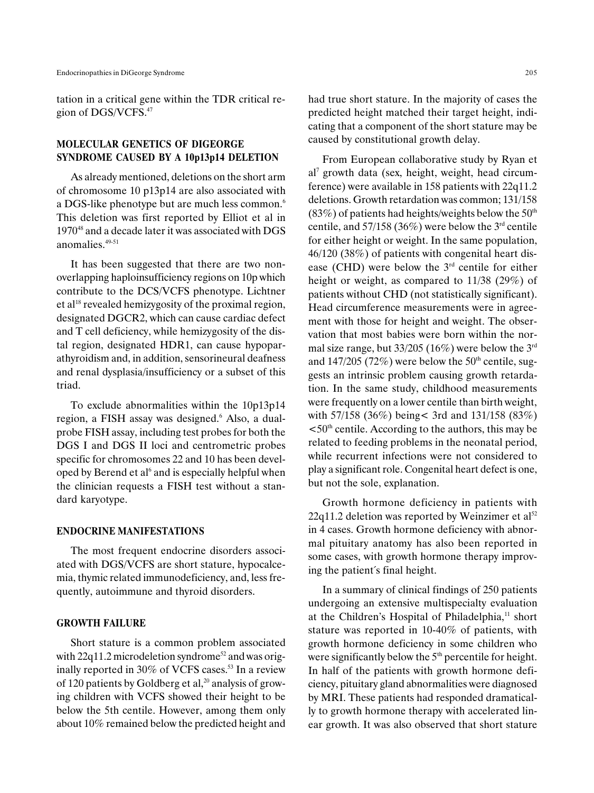tation in a critical gene within the TDR critical region of DGS/VCFS.47

# MOLECULAR GENETICS OF DIGEORGE SYNDROME CAUSED BY A 10p13p14 DELETION

As already mentioned, deletions on the short arm of chromosome 10 p13p14 are also associated with a DGS-like phenotype but are much less common.<sup>6</sup> This deletion was first reported by Elliot et al in 197048 and a decade later it was associated with DGS anomalies<sup>49-51</sup>

It has been suggested that there are two nonoverlapping haploinsufficiency regions on 10p which contribute to the DCS/VCFS phenotype. Lichtner et al<sup>18</sup> revealed hemizygosity of the proximal region, designated DGCR2, which can cause cardiac defect and T cell deficiency, while hemizygosity of the distal region, designated HDR1, can cause hypoparathyroidism and, in addition, sensorineural deafness and renal dysplasia/insufficiency or a subset of this triad.

To exclude abnormalities within the 10p13p14 region, a FISH assay was designed.<sup>6</sup> Also, a dualprobe FISH assay, including test probes for both the DGS I and DGS II loci and centrometric probes specific for chromosomes 22 and 10 has been developed by Berend et al<sup>6</sup> and is especially helpful when the clinician requests a FISH test without a standard karyotype.

## ENDOCRINE MANIFESTATIONS

The most frequent endocrine disorders associated with DGS/VCFS are short stature, hypocalcemia, thymic related immunodeficiency, and, less frequently, autoimmune and thyroid disorders.

#### GROWTH FAILURE

Short stature is a common problem associated with  $22q11.2$  microdeletion syndrome<sup>52</sup> and was originally reported in  $30\%$  of VCFS cases.<sup>53</sup> In a review of 120 patients by Goldberg et al, $^{20}$  analysis of growing children with VCFS showed their height to be below the 5th centile. However, among them only about 10% remained below the predicted height and had true short stature. In the majority of cases the predicted height matched their target height, indicating that a component of the short stature may be caused by constitutional growth delay.

From European collaborative study by Ryan et al7 growth data (sex, height, weight, head circumference) were available in 158 patients with 22q11.2 deletions. Growth retardation was common; 131/158  $(83%)$  of patients had heights/weights below the 50<sup>th</sup> centile, and  $57/158$  (36%) were below the  $3<sup>rd</sup>$  centile for either height or weight. In the same population, 46/120 (38%) of patients with congenital heart disease (CHD) were below the  $3<sup>rd</sup>$  centile for either height or weight, as compared to 11/38 (29%) of patients without CHD (not statistically significant). Head circumference measurements were in agreement with those for height and weight. The observation that most babies were born within the normal size range, but  $33/205$  (16%) were below the 3<sup>rd</sup> and  $147/205$  (72%) were below the 50<sup>th</sup> centile, suggests an intrinsic problem causing growth retardation. In the same study, childhood measurements were frequently on a lower centile than birth weight, with 57/158 (36%) being< 3rd and 131/158 (83%)  $\leq 50$ <sup>th</sup> centile. According to the authors, this may be related to feeding problems in the neonatal period, while recurrent infections were not considered to play a significant role. Congenital heart defect is one, but not the sole, explanation.

Growth hormone deficiency in patients with  $22q11.2$  deletion was reported by Weinzimer et al<sup>52</sup> in 4 cases. Growth hormone deficiency with abnormal pituitary anatomy has also been reported in some cases, with growth hormone therapy improving the patient´s final height.

In a summary of clinical findings of 250 patients undergoing an extensive multispecialty evaluation at the Children's Hospital of Philadelphia,<sup>11</sup> short stature was reported in 10-40% of patients, with growth hormone deficiency in some children who were significantly below the  $5<sup>th</sup>$  percentile for height. In half of the patients with growth hormone deficiency, pituitary gland abnormalities were diagnosed by MRI. These patients had responded dramatically to growth hormone therapy with accelerated linear growth. It was also observed that short stature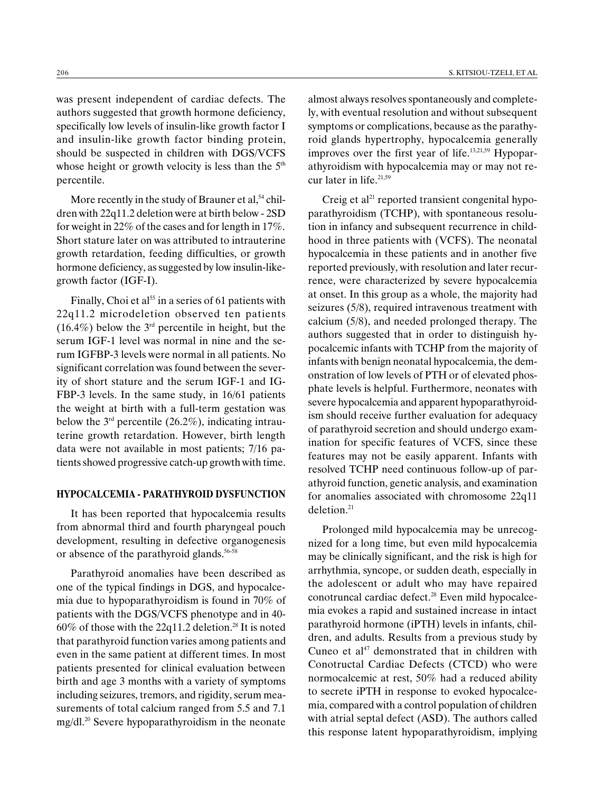was present independent of cardiac defects. The authors suggested that growth hormone deficiency, specifically low levels of insulin-like growth factor I and insulin-like growth factor binding protein, should be suspected in children with DGS/VCFS whose height or growth velocity is less than the  $5<sup>th</sup>$ percentile.

More recently in the study of Brauner et al,<sup>54</sup> children with 22q11.2 deletion were at birth below - 2SD for weight in 22% of the cases and for length in 17%. Short stature later on was attributed to intrauterine growth retardation, feeding difficulties, or growth hormone deficiency, as suggested by low insulin-likegrowth factor (IGF-I).

Finally, Choi et al<sup>55</sup> in a series of 61 patients with 22q11.2 microdeletion observed ten patients  $(16.4\%)$  below the 3<sup>rd</sup> percentile in height, but the serum IGF-1 level was normal in nine and the serum IGFBP-3 levels were normal in all patients. No significant correlation was found between the severity of short stature and the serum IGF-1 and IG-FBP-3 levels. In the same study, in 16/61 patients the weight at birth with a full-term gestation was below the  $3<sup>rd</sup>$  percentile (26.2%), indicating intrauterine growth retardation. However, birth length data were not available in most patients; 7/16 patients showed progressive catch-up growth with time.

## HYPOCALCEMIA - PARATHYROID DYSFUNCTION

It has been reported that hypocalcemia results from abnormal third and fourth pharyngeal pouch development, resulting in defective organogenesis or absence of the parathyroid glands.<sup>56-58</sup>

Parathyroid anomalies have been described as one of the typical findings in DGS, and hypocalcemia due to hypoparathyroidism is found in 70% of patients with the DGS/VCFS phenotype and in 40-  $60\%$  of those with the 22q11.2 deletion.<sup>28</sup> It is noted that parathyroid function varies among patients and even in the same patient at different times. In most patients presented for clinical evaluation between birth and age 3 months with a variety of symptoms including seizures, tremors, and rigidity, serum measurements of total calcium ranged from 5.5 and 7.1 mg/dl.20 Severe hypoparathyroidism in the neonate almost always resolves spontaneously and completely, with eventual resolution and without subsequent symptoms or complications, because as the parathyroid glands hypertrophy, hypocalcemia generally improves over the first year of life.<sup>13,21,59</sup> Hypoparathyroidism with hypocalcemia may or may not recur later in life. $21,59$ 

Creig et al $^{21}$  reported transient congenital hypoparathyroidism (TCHP), with spontaneous resolution in infancy and subsequent recurrence in childhood in three patients with (VCFS). The neonatal hypocalcemia in these patients and in another five reported previously, with resolution and later recurrence, were characterized by severe hypocalcemia at onset. In this group as a whole, the majority had seizures (5/8), required intravenous treatment with calcium (5/8), and needed prolonged therapy. The authors suggested that in order to distinguish hypocalcemic infants with TCHP from the majority of infants with benign neonatal hypocalcemia, the demonstration of low levels of PTH or of elevated phosphate levels is helpful. Furthermore, neonates with severe hypocalcemia and apparent hypoparathyroidism should receive further evaluation for adequacy of parathyroid secretion and should undergo examination for specific features of VCFS, since these features may not be easily apparent. Infants with resolved TCHP need continuous follow-up of parathyroid function, genetic analysis, and examination for anomalies associated with chromosome 22q11 deletion.<sup>21</sup>

Prolonged mild hypocalcemia may be unrecognized for a long time, but even mild hypocalcemia may be clinically significant, and the risk is high for arrhythmia, syncope, or sudden death, especially in the adolescent or adult who may have repaired conotruncal cardiac defect.28 Even mild hypocalcemia evokes a rapid and sustained increase in intact parathyroid hormone (iPTH) levels in infants, children, and adults. Results from a previous study by Cuneo et al $47$  demonstrated that in children with Conotructal Cardiac Defects (CTCD) who were normocalcemic at rest, 50% had a reduced ability to secrete iPTH in response to evoked hypocalcemia, compared with a control population of children with atrial septal defect (ASD). The authors called this response latent hypoparathyroidism, implying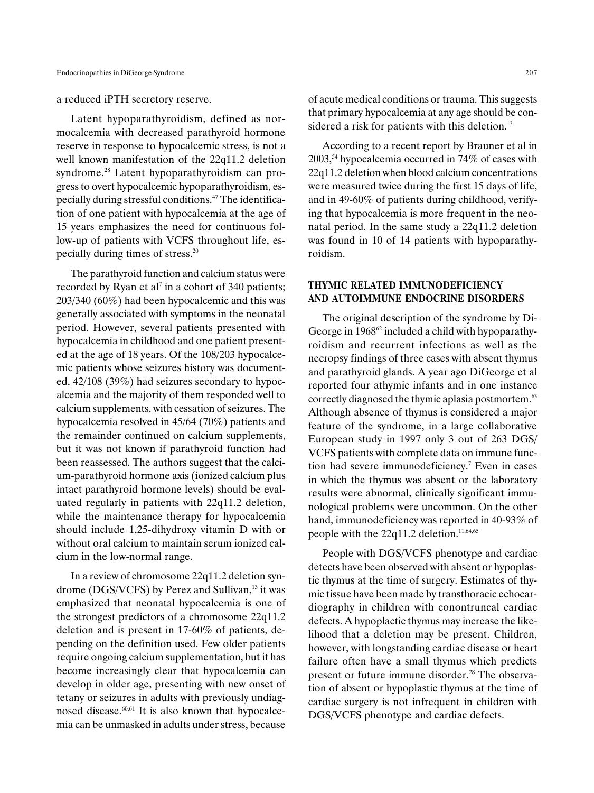a reduced iPTH secretory reserve.

Latent hypoparathyroidism, defined as normocalcemia with decreased parathyroid hormone reserve in response to hypocalcemic stress, is not a well known manifestation of the 22q11.2 deletion syndrome.<sup>28</sup> Latent hypoparathyroidism can progress to overt hypocalcemic hypoparathyroidism, especially during stressful conditions.47 The identification of one patient with hypocalcemia at the age of 15 years emphasizes the need for continuous follow-up of patients with VCFS throughout life, especially during times of stress.20

The parathyroid function and calcium status were recorded by Ryan et al<sup>7</sup> in a cohort of 340 patients; 203/340 (60%) had been hypocalcemic and this was generally associated with symptoms in the neonatal period. However, several patients presented with hypocalcemia in childhood and one patient presented at the age of 18 years. Of the 108/203 hypocalcemic patients whose seizures history was documented, 42/108 (39%) had seizures secondary to hypocalcemia and the majority of them responded well to calcium supplements, with cessation of seizures. The hypocalcemia resolved in 45/64 (70%) patients and the remainder continued on calcium supplements, but it was not known if parathyroid function had been reassessed. The authors suggest that the calcium-parathyroid hormone axis (ionized calcium plus intact parathyroid hormone levels) should be evaluated regularly in patients with 22q11.2 deletion, while the maintenance therapy for hypocalcemia should include 1,25-dihydroxy vitamin D with or without oral calcium to maintain serum ionized calcium in the low-normal range.

In a review of chromosome 22q11.2 deletion syndrome (DGS/VCFS) by Perez and Sullivan, $13$  it was emphasized that neonatal hypocalcemia is one of the strongest predictors of a chromosome 22q11.2 deletion and is present in 17-60% of patients, depending on the definition used. Few older patients require ongoing calcium supplementation, but it has become increasingly clear that hypocalcemia can develop in older age, presenting with new onset of tetany or seizures in adults with previously undiagnosed disease. $60,61$  It is also known that hypocalcemia can be unmasked in adults under stress, because of acute medical conditions or trauma. This suggests that primary hypocalcemia at any age should be considered a risk for patients with this deletion. $13$ 

According to a recent report by Brauner et al in  $2003$ <sup>54</sup> hypocalcemia occurred in 74% of cases with 22q11.2 deletion when blood calcium concentrations were measured twice during the first 15 days of life, and in 49-60% of patients during childhood, verifying that hypocalcemia is more frequent in the neonatal period. In the same study a 22q11.2 deletion was found in 10 of 14 patients with hypoparathyroidism.

# THYMIC RELATED IMMUNODEFICIENCY AND AUTOIMMUNE ENDOCRINE DISORDERS

The original description of the syndrome by Di-George in 1968<sup>62</sup> included a child with hypoparathyroidism and recurrent infections as well as the necropsy findings of three cases with absent thymus and parathyroid glands. A year ago DiGeorge et al reported four athymic infants and in one instance correctly diagnosed the thymic aplasia postmortem.<sup>63</sup> Although absence of thymus is considered a major feature of the syndrome, in a large collaborative European study in 1997 only 3 out of 263 DGS/ VCFS patients with complete data on immune function had severe immunodeficiency.7 Even in cases in which the thymus was absent or the laboratory results were abnormal, clinically significant immunological problems were uncommon. On the other hand, immunodeficiency was reported in 40-93% of people with the  $22q11.2$  deletion.<sup>11,64,65</sup>

People with DGS/VCFS phenotype and cardiac detects have been observed with absent or hypoplastic thymus at the time of surgery. Estimates of thymic tissue have been made by transthoracic echocardiography in children with conontruncal cardiac defects. A hypoplactic thymus may increase the likelihood that a deletion may be present. Children, however, with longstanding cardiac disease or heart failure often have a small thymus which predicts present or future immune disorder.<sup>28</sup> The observation of absent or hypoplastic thymus at the time of cardiac surgery is not infrequent in children with DGS/VCFS phenotype and cardiac defects.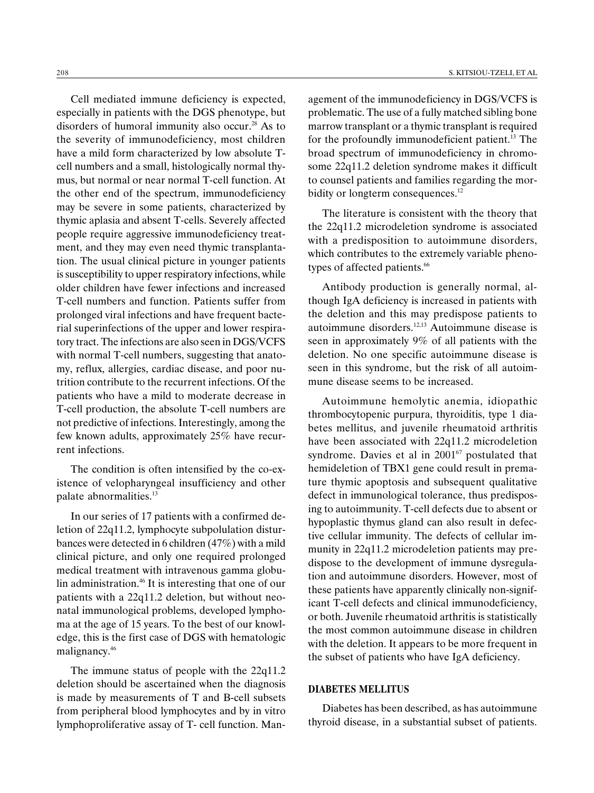Cell mediated immune deficiency is expected, especially in patients with the DGS phenotype, but disorders of humoral immunity also occur.<sup>28</sup> As to the severity of immunodeficiency, most children have a mild form characterized by low absolute Tcell numbers and a small, histologically normal thymus, but normal or near normal T-cell function. At the other end of the spectrum, immunodeficiency may be severe in some patients, characterized by thymic aplasia and absent T-cells. Severely affected people require aggressive immunodeficiency treatment, and they may even need thymic transplantation. The usual clinical picture in younger patients is susceptibility to upper respiratory infections, while older children have fewer infections and increased T-cell numbers and function. Patients suffer from prolonged viral infections and have frequent bacterial superinfections of the upper and lower respiratory tract. The infections are also seen in DGS/VCFS with normal T-cell numbers, suggesting that anatomy, reflux, allergies, cardiac disease, and poor nutrition contribute to the recurrent infections. Of the patients who have a mild to moderate decrease in T-cell production, the absolute T-cell numbers are not predictive of infections. Interestingly, among the few known adults, approximately 25% have recurrent infections.

The condition is often intensified by the co-existence of velopharyngeal insufficiency and other palate abnormalities.13

In our series of 17 patients with a confirmed deletion of 22q11.2, lymphocyte subpolulation disturbances were detected in 6 children (47%) with a mild clinical picture, and only one required prolonged medical treatment with intravenous gamma globulin administration.<sup>46</sup> It is interesting that one of our patients with a 22q11.2 deletion, but without neonatal immunological problems, developed lymphoma at the age of 15 years. To the best of our knowledge, this is the first case of DGS with hematologic malignancy.46

The immune status of people with the 22q11.2 deletion should be ascertained when the diagnosis is made by measurements of T and B-cell subsets from peripheral blood lymphocytes and by in vitro lymphoproliferative assay of T- cell function. Management of the immunodeficiency in DGS/VCFS is problematic. The use of a fully matched sibling bone marrow transplant or a thymic transplant is required for the profoundly immunodeficient patient.<sup>13</sup> The broad spectrum of immunodeficiency in chromosome 22q11.2 deletion syndrome makes it difficult to counsel patients and families regarding the morbidity or longterm consequences.<sup>12</sup>

The literature is consistent with the theory that the 22q11.2 microdeletion syndrome is associated with a predisposition to autoimmune disorders, which contributes to the extremely variable phenotypes of affected patients.<sup>66</sup>

Antibody production is generally normal, although IgA deficiency is increased in patients with the deletion and this may predispose patients to autoimmune disorders.12,13 Autoimmune disease is seen in approximately 9% of all patients with the deletion. No one specific autoimmune disease is seen in this syndrome, but the risk of all autoimmune disease seems to be increased.

Autoimmune hemolytic anemia, idiopathic thrombocytopenic purpura, thyroiditis, type 1 diabetes mellitus, and juvenile rheumatoid arthritis have been associated with 22q11.2 microdeletion syndrome. Davies et al in  $2001^{67}$  postulated that hemideletion of TBX1 gene could result in premature thymic apoptosis and subsequent qualitative defect in immunological tolerance, thus predisposing to autoimmunity. T-cell defects due to absent or hypoplastic thymus gland can also result in defective cellular immunity. The defects of cellular immunity in 22q11.2 microdeletion patients may predispose to the development of immune dysregulation and autoimmune disorders. However, most of these patients have apparently clinically non-significant T-cell defects and clinical immunodeficiency, or both. Juvenile rheumatoid arthritis is statistically the most common autoimmune disease in children with the deletion. It appears to be more frequent in the subset of patients who have IgA deficiency.

# DIABETES MELLITUS

Diabetes has been described, as has autoimmune thyroid disease, in a substantial subset of patients.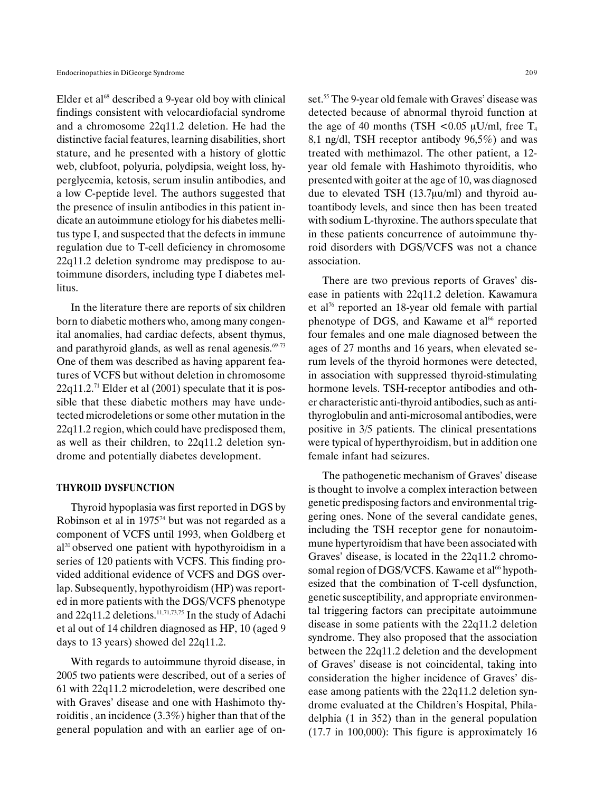Elder et al $^{68}$  described a 9-year old boy with clinical findings consistent with velocardiofacial syndrome and a chromosome 22q11.2 deletion. He had the distinctive facial features, learning disabilities, short stature, and he presented with a history of glottic web, clubfoot, polyuria, polydipsia, weight loss, hyperglycemia, ketosis, serum insulin antibodies, and a low C-peptide level. The authors suggested that the presence of insulin antibodies in this patient indicate an autoimmune etiology for his diabetes mellitus type I, and suspected that the defects in immune regulation due to T-cell deficiency in chromosome 22q11.2 deletion syndrome may predispose to autoimmune disorders, including type I diabetes mellitus.

In the literature there are reports of six children born to diabetic mothers who, among many congenital anomalies, had cardiac defects, absent thymus, and parathyroid glands, as well as renal agenesis.<sup>69-73</sup> One of them was described as having apparent features of VCFS but without deletion in chromosome  $22q11.2$ <sup>71</sup> Elder et al (2001) speculate that it is possible that these diabetic mothers may have undetected microdeletions or some other mutation in the 22q11.2 region, which could have predisposed them, as well as their children, to 22q11.2 deletion syndrome and potentially diabetes development.

## THYROID DYSFUNCTION

Thyroid hypoplasia was first reported in DGS by Robinson et al in  $1975<sup>74</sup>$  but was not regarded as a component of VCFS until 1993, when Goldberg et  $al^{20}$  observed one patient with hypothyroidism in a series of 120 patients with VCFS. This finding provided additional evidence of VCFS and DGS overlap. Subsequently, hypothyroidism (HP) was reported in more patients with the DGS/VCFS phenotype and  $22q11.2$  deletions.<sup>11,71,73,75</sup> In the study of Adachi et al out of 14 children diagnosed as HP, 10 (aged 9 days to 13 years) showed del 22q11.2.

With regards to autoimmune thyroid disease, in 2005 two patients were described, out of a series of 61 with 22q11.2 microdeletion, were described one with Graves' disease and one with Hashimoto thyroiditis , an incidence (3.3%) higher than that of the general population and with an earlier age of onset.<sup>55</sup> The 9-year old female with Graves' disease was detected because of abnormal thyroid function at the age of 40 months (TSH <0.05  $\mu$ U/ml, free T<sub>4</sub> 8,1 ng/dl, TSH receptor antibody 96,5%) and was treated with methimazol. The other patient, a 12 year old female with Hashimoto thyroiditis, who presented with goiter at the age of 10, was diagnosed due to elevated TSH  $(13.7\mu\text{u/ml})$  and thyroid autoantibody levels, and since then has been treated with sodium L-thyroxine. The authors speculate that in these patients concurrence of autoimmune thyroid disorders with DGS/VCFS was not a chance association.

There are two previous reports of Graves' disease in patients with 22q11.2 deletion. Kawamura et al76 reported an 18-year old female with partial phenotype of DGS, and Kawame et al<sup>66</sup> reported four females and one male diagnosed between the ages of 27 months and 16 years, when elevated serum levels of the thyroid hormones were detected, in association with suppressed thyroid-stimulating hormone levels. TSH-receptor antibodies and other characteristic anti-thyroid antibodies, such as antithyroglobulin and anti-microsomal antibodies, were positive in 3/5 patients. The clinical presentations were typical of hyperthyroidism, but in addition one female infant had seizures.

The pathogenetic mechanism of Graves' disease is thought to involve a complex interaction between genetic predisposing factors and environmental triggering ones. None of the several candidate genes, including the TSH receptor gene for nonautoimmune hypertyroidism that have been associated with Graves' disease, is located in the 22q11.2 chromosomal region of DGS/VCFS. Kawame et al<sup>66</sup> hypothesized that the combination of T-cell dysfunction, genetic susceptibility, and appropriate environmental triggering factors can precipitate autoimmune disease in some patients with the 22q11.2 deletion syndrome. They also proposed that the association between the 22q11.2 deletion and the development of Graves' disease is not coincidental, taking into consideration the higher incidence of Graves' disease among patients with the 22q11.2 deletion syndrome evaluated at the Children's Hospital, Philadelphia (1 in 352) than in the general population  $(17.7 \text{ in } 100,000)$ : This figure is approximately 16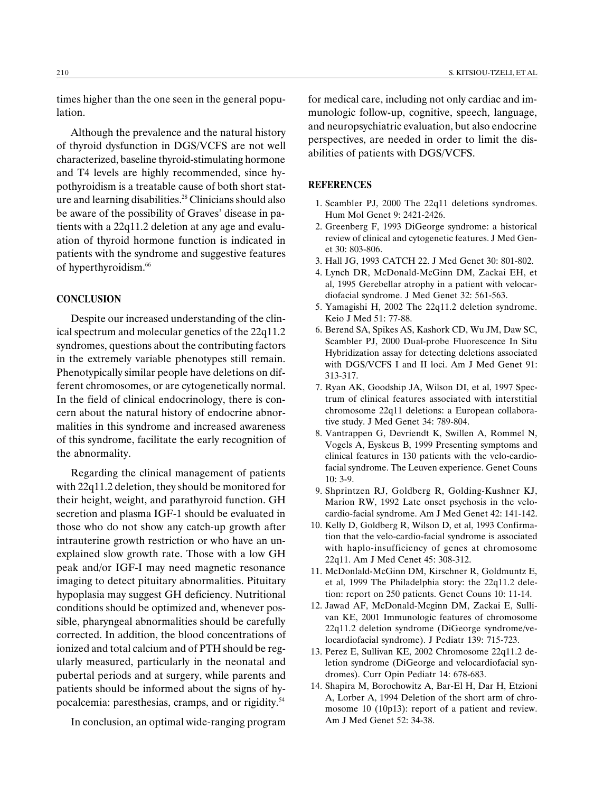times higher than the one seen in the general population.

Although the prevalence and the natural history of thyroid dysfunction in DGS/VCFS are not well characterized, baseline thyroid-stimulating hormone and T4 levels are highly recommended, since hypothyroidism is a treatable cause of both short stature and learning disabilities.<sup>28</sup> Clinicians should also be aware of the possibility of Graves' disease in patients with a 22q11.2 deletion at any age and evaluation of thyroid hormone function is indicated in patients with the syndrome and suggestive features of hyperthyroidism.<sup>66</sup>

## **CONCLUSION**

Despite our increased understanding of the clinical spectrum and molecular genetics of the 22q11.2 syndromes, questions about the contributing factors in the extremely variable phenotypes still remain. Phenotypically similar people have deletions on different chromosomes, or are cytogenetically normal. In the field of clinical endocrinology, there is concern about the natural history of endocrine abnormalities in this syndrome and increased awareness of this syndrome, facilitate the early recognition of the abnormality.

Regarding the clinical management of patients with 22q11.2 deletion, they should be monitored for their height, weight, and parathyroid function. GH secretion and plasma IGF-1 should be evaluated in those who do not show any catch-up growth after intrauterine growth restriction or who have an unexplained slow growth rate. Those with a low GH peak and/or IGF-I may need magnetic resonance imaging to detect pituitary abnormalities. Pituitary hypoplasia may suggest GH deficiency. Nutritional conditions should be optimized and, whenever possible, pharyngeal abnormalities should be carefully corrected. In addition, the blood concentrations of ionized and total calcium and of PTH should be regularly measured, particularly in the neonatal and pubertal periods and at surgery, while parents and patients should be informed about the signs of hypocalcemia: paresthesias, cramps, and or rigidity.<sup>54</sup>

In conclusion, an optimal wide-ranging program

for medical care, including not only cardiac and immunologic follow-up, cognitive, speech, language, and neuropsychiatric evaluation, but also endocrine perspectives, are needed in order to limit the disabilities of patients with DGS/VCFS.

## **REFERENCES**

- 1. Scambler PJ, 2000 The 22q11 deletions syndromes. Hum Mol Genet 9: 2421-2426.
- 2. Greenberg F, 1993 DiGeorge syndrome: a historical review of clinical and cytogenetic features. J Med Genet 30: 803-806.
- 3. Hall JG, 1993 CATCH 22. J Med Genet 30: 801-802.
- 4. Lynch DR, McDonald-McGinn DM, Zackai EH, et al, 1995 Gerebellar atrophy in a patient with velocardiofacial syndrome. J Med Genet 32: 561-563.
- 5. Yamagishi H, 2002 The 22q11.2 deletion syndrome. Keio J Med 51: 77-88.
- 6. Berend SA, Spikes AS, Kashork CD, Wu JM, Daw SC, Scambler PJ, 2000 Dual-probe Fluorescence In Situ Hybridization assay for detecting deletions associated with DGS/VCFS I and II loci. Am J Med Genet 91: 313-317.
- 7. Ryan AK, Goodship JA, Wilson DI, et al, 1997 Spectrum of clinical features associated with interstitial chromosome 22q11 deletions: a European collaborative study. J Med Genet 34: 789-804.
- 8. Vantrappen G, Devriendt K, Swillen A, Rommel N, Vogels A, Eyskeus B, 1999 Presenting symptoms and clinical features in 130 patients with the velo-cardiofacial syndrome. The Leuven experience. Genet Couns 10: 3-9.
- 9. Shprintzen RJ, Goldberg R, Golding-Kushner KJ, Marion RW, 1992 Late onset psychosis in the velocardio-facial syndrome. Am J Med Genet 42: 141-142.
- 10. Kelly D, Goldberg R, Wilson D, et al, 1993 Confirmation that the velo-cardio-facial syndrome is associated with haplo-insufficiency of genes at chromosome 22q11. Am J Med Cenet 45: 308-312.
- 11. McDonlald-McGinn DM, Kirschner R, Goldmuntz E, et al, 1999 The Philadelphia story: the 22q11.2 deletion: report on 250 patients. Genet Couns 10: 11-14.
- 12. Jawad AF, McDonald-Mcginn DM, Zackai E, Sullivan KE, 2001 Immunologic features of chromosome 22q11.2 deletion syndrome (DiGeorge syndrome/velocardiofacial syndrome). J Pediatr 139: 715-723.
- 13. Perez E, Sullivan KE, 2002 Chromosome 22q11.2 deletion syndrome (DiGeorge and velocardiofacial syndromes). Curr Opin Pediatr 14: 678-683.
- 14. Shapira M, Borochowitz A, Bar-El H, Dar H, Etzioni A, Lorber A, 1994 Deletion of the short arm of chromosome 10 (10p13): report of a patient and review. Am J Med Genet 52: 34-38.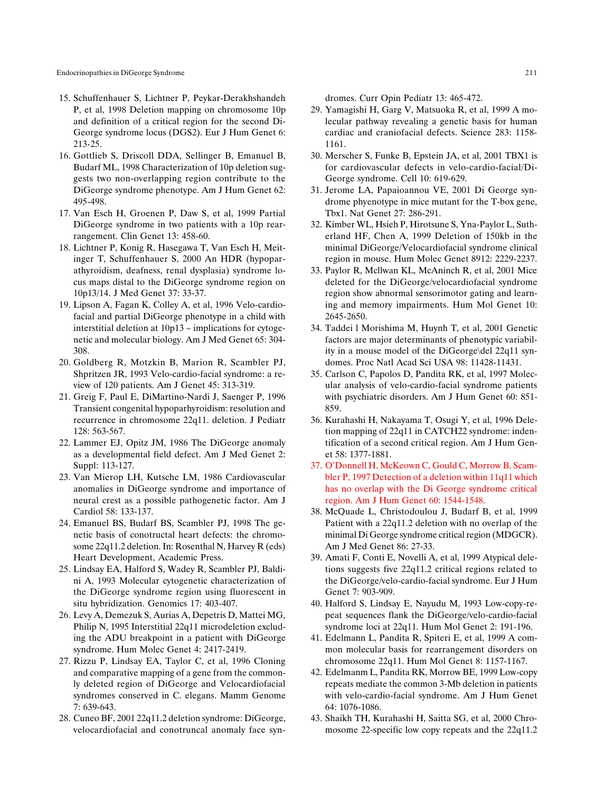Endocrinopathies in DiGeorge Syndrome 211

- 15. Schuffenhauer S, Lichtner P, Peykar-Derakhshandeh P, et al, 1998 Deletion mapping on chromosome 10p and definition of a critical region for the second Di-George syndrome locus (DGS2). Eur J Hum Genet 6: 213-25.
- 16. Gottlieb S, Driscoll DDA, Sellinger B, Emanuel B, Budarf ML, 1998 Characterization of 10p deletion suggests two non-overlapping region contribute to the DiGeorge syndrome phenotype. Am J Hum Genet 62: 495-498.
- 17. Van Esch H, Groenen P, Daw S, et al, 1999 Partial DiGeorge syndrome in two patients with a 10p rearrangement. Clin Genet 13: 458-60.
- 18. Lichtner P, Konig R, Hasegawa T, Van Esch H, Meitinger T, Schuffenhauer S, 2000 An HDR (hypoparathyroidism, deafness, renal dysplasia) syndrome locus maps distal to the DiGeorge syndrome region on 10p13/14. J Med Genet 37: 33-37.
- 19. Lipson A, Fagan K, Colley A, et al, 1996 Velo-cardiofacial and partial DiGeorge phenotype in a child with interstitial deletion at  $10p13$  – implications for cytogenetic and molecular biology. Am J Med Genet 65: 304- 308.
- 20. Goldberg R, Motzkin B, Marion R, Scambler PJ, Shpritzen JR, 1993 Velo-cardio-facial syndrome: a review of 120 patients. Am J Genet 45: 313-319.
- 21. Greig F, Paul E, DiMartino-Nardi J, Saenger P, 1996 Transient congenital hypoparhyroidism: resolution and recurrence in chromosome 22q11. deletion. J Pediatr 128: 563-567.
- 22. Lammer EJ, Opitz JM, 1986 The DiGeorge anomaly as a developmental field defect. Am J Med Genet 2: Suppl: 113-127.
- 23. Van Mierop LH, Kutsche LM, 1986 Cardiovascular anomalies in DiGeorge syndrome and importance of neural crest as a possible pathogenetic factor. Am J Cardiol 58: 133-137.
- 24. Emanuel BS, Budarf BS, Scambler PJ, 1998 The genetic basis of conotructal heart defects: the chromosome 22q11.2 deletion. In: Rosenthal N, Harvey R (eds) Heart Development, Academic Press.
- 25. Lindsay EA, Halford S, Wadey R, Scambler PJ, Baldini A, 1993 Molecular cytogenetic characterization of the DiGeorge syndrome region using fluorescent in situ hybridization. Genomics 17: 403-407.
- 26. Levy A, Demezuk S, Aurias A, Depetris D, Mattei MG, Philip N, 1995 Interstitial 22q11 microdeletion excluding the ADU breakpoint in a patient with DiGeorge syndrome. Hum Molec Genet 4: 2417-2419.
- 27. Rizzu P, Lindsay EA, Taylor C, et al, 1996 Cloning and comparative mapping of a gene from the commonly deleted region of DiGeorge and Velocardiofacial syndromes conserved in C. elegans. Mamm Genome 7: 639-643.
- 28. Cuneo BF, 2001 22q11.2 deletion syndrome: DiGeorge, velocardiofacial and conotruncal anomaly face syn-

dromes. Curr Opin Pediatr 13: 465-472.

- 29. Yamagishi H, Garg V, Matsuoka R, et al, 1999 A molecular pathway revealing a genetic basis for human cardiac and craniofacial defects. Science 283: 1158- 1161.
- 30. Merscher S, Funke B, Epstein JA, et al, 2001 TBX1 is for cardiovascular defects in velo-cardio-facial/Di-George syndrome. Cell 10: 619-629.
- 31. Jerome LA, Papaioannou VE, 2001 Di George syndrome phyenotype in mice mutant for the T-box gene, Tbx1. Nat Genet 27: 286-291.
- 32. Kimber WL, Hsieh P, Hirotsune S, Yna-Paylor L, Sutherland HF, Chen A, 1999 Deletion of 150kb in the minimal DiGeorge/Velocardiofacial syndrome clinical region in mouse. Hum Molec Genet 8912: 2229-2237.
- 33. Paylor R, Mcllwan KL, McAninch R, et al, 2001 Mice deleted for the DiGeorge/velocardiofacial syndrome region show abnormal sensorimotor gating and learning and memory impairments. Hum Mol Genet 10: 2645-2650.
- 34. Taddei l Morishima M, Huynh T, et al, 2001 Genetic factors are major determinants of phenotypic variability in a mouse model of the DiGeorge\del 22q11 syndomes. Proc Natl Acad Sci USA 98: 11428-11431.
- 35. Carlson C, Papolos D, Pandita RK, et al, 1997 Molecular analysis of velo-cardio-facial syndrome patients with psychiatric disorders. Am J Hum Genet 60: 851- 859.
- 36. Kurahashi H, Nakayama T, Osugi Y, et al, 1996 Deletion mapping of 22q11 in CATCH22 syndrome: indentification of a second critical region. Am J Hum Genet 58: 1377-1881.
- 37. O'Donnell H, McKeown C, Gould C, Morrow B, Scambler P, 1997 Detection of a deletion within 11q11 which has no overlap with the Di George syndrome critical region. Am J Hum Genet 60: 1544-1548.
- 38. McQuade L, Christodoulou J, Budarf B, et al, 1999 Patient with a 22q11.2 deletion with no overlap of the minimal Di George syndrome critical region (MDGCR). Am J Med Genet 86: 27-33.
- 39. Amati F, Conti E, Novelli A, et al, 1999 Atypical deletions suggests five 22q11.2 critical regions related to the DiGeorge/velo-cardio-facial syndrome. Eur J Hum Genet 7: 903-909.
- 40. Halford S, Lindsay E, Nayudu M, 1993 Low-copy-repeat sequences flank the DiGeorge/velo-cardio-facial syndrome loci at 22q11. Hum Mol Genet 2: 191-196.
- 41. Edelmann L, Pandita R, Spiteri E, et al, 1999 A common molecular basis for rearrangement disorders on chromosome 22q11. Hum Mol Genet 8: 1157-1167.
- 42. Edelmanm L, Pandita RK, Morrow BE, 1999 Low-copy repeats mediate the common 3-Mb deletion in patients with velo-cardio-facial syndrome. Am J Hum Genet 64: 1076-1086.
- 43. Shaikh TH, Kurahashi H, Saitta SG, et al, 2000 Chromosome 22-specific low copy repeats and the 22q11.2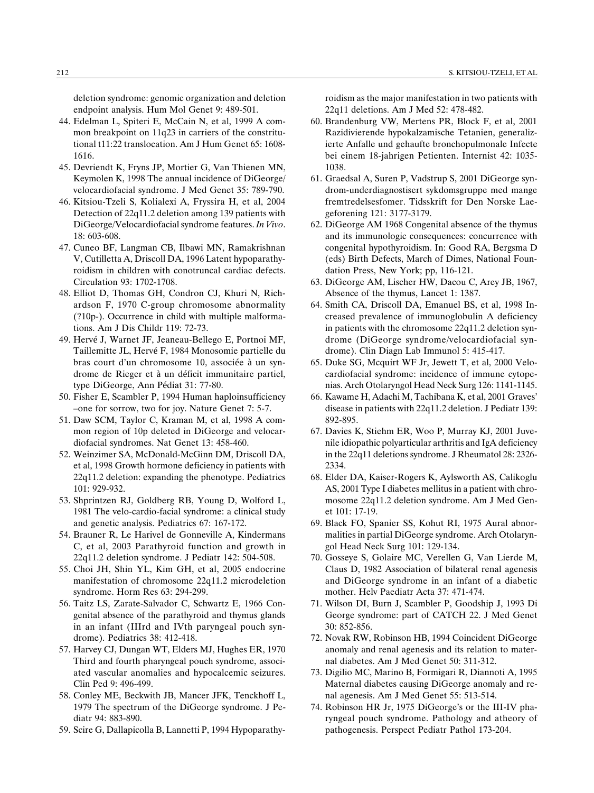deletion syndrome: genomic organization and deletion endpoint analysis. Hum Mol Genet 9: 489-501.

- 44. Edelman L, Spiteri E, McCain N, et al, 1999 A common breakpoint on 11q23 in carriers of the constritutional t11:22 translocation. Am J Hum Genet 65: 1608- 1616.
- 45. Devriendt K, Fryns JP, Mortier G, Van Thienen MN, Keymolen K, 1998 The annual incidence of DiGeorge/ velocardiofacial syndrome. J Med Genet 35: 789-790.
- 46. Kitsiou-Tzeli S, Kolialexi A, Fryssira H, et al, 2004 Detection of 22q11.2 deletion among 139 patients with DiGeorge/Velocardiofacial syndrome features. In Vivo. 18: 603-608.
- 47. Cuneo BF, Langman CB, Ilbawi MN, Ramakrishnan V, Cutilletta A, Driscoll DA, 1996 Latent hypoparathyroidism in children with conotruncal cardiac defects. Circulation 93: 1702-1708.
- 48. Elliot D, Thomas GH, Condron CJ, Khuri N, Richardson F, 1970 C-group chromosome abnormality (?10p-). Occurrence in child with multiple malformations. Am J Dis Childr 119: 72-73.
- 49. Hervé J, Warnet JF, Jeaneau-Bellego E, Portnoi MF, Taillemitte JL, Hervé F, 1984 Monosomie partielle du bras court d'un chromosome 10, associée à un syndrome de Rieger et à un déficit immunitaire partiel, type DiGeorge, Ann Pédiat 31: 77-80.
- 50. Fisher E, Scambler P, 1994 Human haploinsufficiency -one for sorrow, two for joy. Nature Genet 7: 5-7.
- 51. Daw SCM, Taylor C, Kraman M, et al, 1998 A common region of 10p deleted in DiGeorge and velocardiofacial syndromes. Nat Genet 13: 458-460.
- 52. Weinzimer SA, McDonald-McGinn DM, Driscoll DA, et al, 1998 Growth hormone deficiency in patients with 22q11.2 deletion: expanding the phenotype. Pediatrics 101: 929-932.
- 53. Shprintzen RJ, Goldberg RB, Young D, Wolford L, 1981 The velo-cardio-facial syndrome: a clinical study and genetic analysis. Pediatrics 67: 167-172.
- 54. Brauner R, Le Harivel de Gonneville A, Kindermans C, et al, 2003 Parathyroid function and growth in 22q11.2 deletion syndrome. J Pediatr 142: 504-508.
- 55. Choi JH, Shin YL, Kim GH, et al, 2005 endocrine manifestation of chromosome 22q11.2 microdeletion syndrome. Horm Res 63: 294-299.
- 56. Taitz LS, Zarate-Salvador C, Schwartz E, 1966 Congenital absence of the parathyroid and thymus glands in an infant (IIIrd and IVth paryngeal pouch syndrome). Pediatrics 38: 412-418.
- 57. Harvey CJ, Dungan WT, Elders MJ, Hughes ER, 1970 Third and fourth pharyngeal pouch syndrome, associated vascular anomalies and hypocalcemic seizures. Clin Ped 9: 496-499.
- 58. Conley ME, Beckwith JB, Mancer JFK, Tenckhoff L, 1979 The spectrum of the DiGeorge syndrome. J Pediatr 94: 883-890.
- 59. Scire G, Dallapicolla B, Lannetti P, 1994 Hypoparathy-

roidism as the major manifestation in two patients with 22q11 deletions. Am J Med 52: 478-482.

- 60. Brandenburg VW, Mertens PR, Block F, et al, 2001 Razidivierende hypokalzamische Tetanien, generalizierte Anfalle und gehaufte bronchopulmonale Infecte bei einem 18-jahrigen Petienten. Internist 42: 1035- 1038.
- 61. Graedsal A, Suren P, Vadstrup S, 2001 DiGeorge syndrom-underdiagnostisert sykdomsgruppe med mange fremtredelsesfomer. Tidsskrift for Den Norske Laegeforening 121: 3177-3179.
- 62. DiGeorge AM 1968 Congenital absence of the thymus and its immunologic consequences: concurrence with congenital hypothyroidism. In: Good RA, Bergsma D (eds) Birth Defects, March of Dimes, National Foundation Press, New York; pp, 116-121.
- 63. DiGeorge AM, Lischer HW, Dacou C, Arey JB, 1967, Absence of the thymus, Lancet 1: 1387.
- 64. Smith CA, Driscoll DA, Emanuel BS, et al, 1998 Increased prevalence of immunoglobulin A deficiency in patients with the chromosome 22q11.2 deletion syndrome (DiGeorge syndrome/velocardiofacial syndrome). Clin Diagn Lab Immunol 5: 415-417.
- 65. Duke SG, Mcquirt WF Jr, Jewett T, et al, 2000 Velocardiofacial syndrome: incidence of immune cytopenias. Arch Otolaryngol Head Neck Surg 126: 1141-1145.
- 66. Kawame H, Adachi M, Tachibana K, et al, 2001 Graves disease in patients with 22q11.2 deletion. J Pediatr 139: 892-895.
- 67. Davies K, Stiehm ER, Woo P, Murray KJ, 2001 Juvenile idiopathic polyarticular arthritis and IgA deficiency in the 22q11 deletions syndrome. J Rheumatol 28: 2326- 2334.
- 68. Elder DA, Kaiser-Rogers K, Aylsworth AS, Calikoglu AS, 2001 Type I diabetes mellitus in a patient with chromosome 22q11.2 deletion syndrome. Am J Med Genet 101: 17-19.
- 69. Black FO, Spanier SS, Kohut RI, 1975 Aural abnormalities in partial DiGeorge syndrome. Arch Otolaryngol Head Neck Surg 101: 129-134.
- 70. Gosseye S, Golaire MC, Verellen G, Van Lierde M, Claus D, 1982 Association of bilateral renal agenesis and DiGeorge syndrome in an infant of a diabetic mother. Helv Paediatr Acta 37: 471-474.
- 71. Wilson DI, Burn J, Scambler P, Goodship J, 1993 Di George syndrome: part of CATCH 22. J Med Genet 30: 852-856.
- 72. Novak RW, Robinson HB, 1994 Coincident DiGeorge anomaly and renal agenesis and its relation to maternal diabetes. Am J Med Genet 50: 311-312.
- 73. Digilio MC, Marino B, Formigari R, Diannoti A, 1995 Maternal diabetes causing DiGeorge anomaly and renal agenesis. Am J Med Genet 55: 513-514.
- 74. Robinson HR Jr, 1975 DiGeorge's or the III-IV pharyngeal pouch syndrome. Pathology and atheory of pathogenesis. Perspect Pediatr Pathol 173-204.